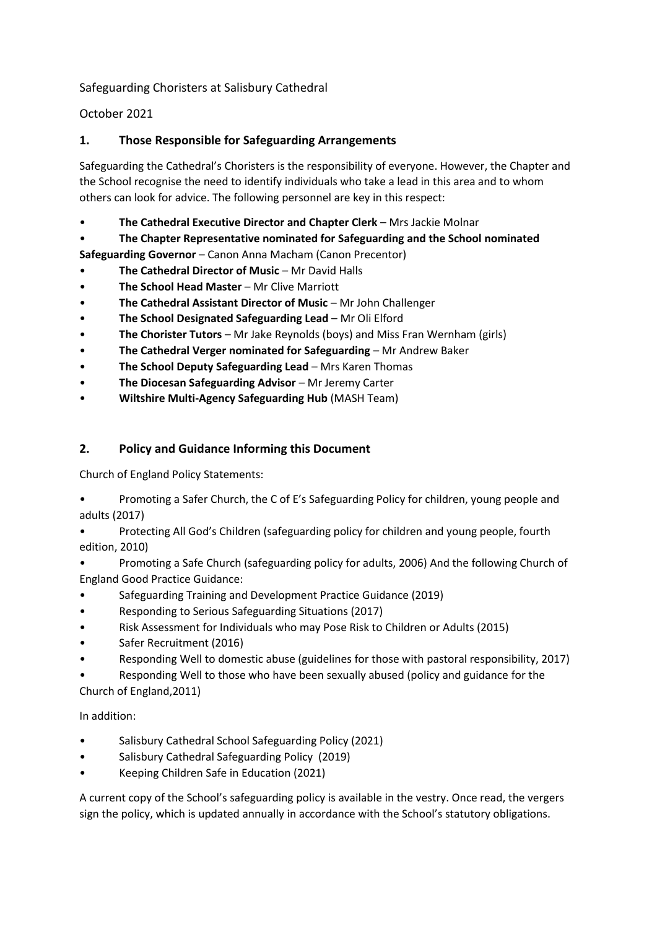Safeguarding Choristers at Salisbury Cathedral

October 2021

# **1. Those Responsible for Safeguarding Arrangements**

Safeguarding the Cathedral's Choristers is the responsibility of everyone. However, the Chapter and the School recognise the need to identify individuals who take a lead in this area and to whom others can look for advice. The following personnel are key in this respect:

- **The Cathedral Executive Director and Chapter Clerk** Mrs Jackie Molnar
- **The Chapter Representative nominated for Safeguarding and the School nominated**

**Safeguarding Governor** – Canon Anna Macham (Canon Precentor)

- **The Cathedral Director of Music** Mr David Halls
- **The School Head Master** Mr Clive Marriott
- **The Cathedral Assistant Director of Music**  Mr John Challenger
- **The School Designated Safeguarding Lead** Mr Oli Elford
- **The Chorister Tutors** Mr Jake Reynolds (boys) and Miss Fran Wernham (girls)
- **The Cathedral Verger nominated for Safeguarding** Mr Andrew Baker
- **The School Deputy Safeguarding Lead** Mrs Karen Thomas
- **The Diocesan Safeguarding Advisor** Mr Jeremy Carter
- **Wiltshire Multi-Agency Safeguarding Hub** (MASH Team)

# **2. Policy and Guidance Informing this Document**

Church of England Policy Statements:

- Promoting a Safer Church, the C of E's Safeguarding Policy for children, young people and adults (2017)
- Protecting All God's Children (safeguarding policy for children and young people, fourth edition, 2010)
- Promoting a Safe Church (safeguarding policy for adults, 2006) And the following Church of England Good Practice Guidance:
- Safeguarding Training and Development Practice Guidance (2019)
- Responding to Serious Safeguarding Situations (2017)
- Risk Assessment for Individuals who may Pose Risk to Children or Adults (2015)
- Safer Recruitment (2016)
- Responding Well to domestic abuse (guidelines for those with pastoral responsibility, 2017)
- Responding Well to those who have been sexually abused (policy and guidance for the Church of England,2011)

### In addition:

- Salisbury Cathedral School Safeguarding Policy (2021)
- Salisbury Cathedral Safeguarding Policy (2019)
- Keeping Children Safe in Education (2021)

A current copy of the School's safeguarding policy is available in the vestry. Once read, the vergers sign the policy, which is updated annually in accordance with the School's statutory obligations.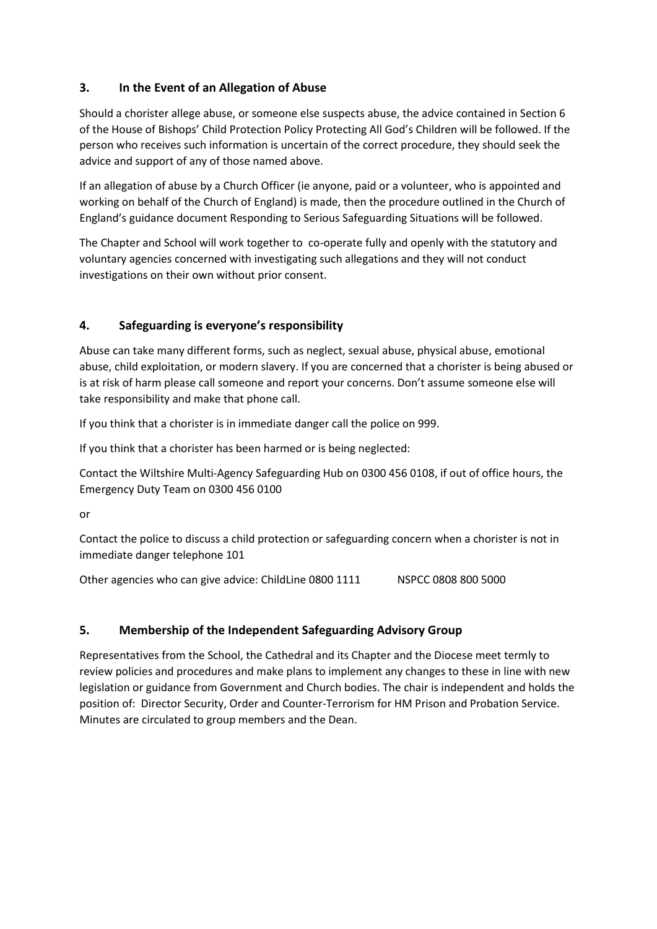# **3. In the Event of an Allegation of Abuse**

Should a chorister allege abuse, or someone else suspects abuse, the advice contained in Section 6 of the House of Bishops' Child Protection Policy Protecting All God's Children will be followed. If the person who receives such information is uncertain of the correct procedure, they should seek the advice and support of any of those named above.

If an allegation of abuse by a Church Officer (ie anyone, paid or a volunteer, who is appointed and working on behalf of the Church of England) is made, then the procedure outlined in the Church of England's guidance document Responding to Serious Safeguarding Situations will be followed.

The Chapter and School will work together to co-operate fully and openly with the statutory and voluntary agencies concerned with investigating such allegations and they will not conduct investigations on their own without prior consent.

# **4. Safeguarding is everyone's responsibility**

Abuse can take many different forms, such as neglect, sexual abuse, physical abuse, emotional abuse, child exploitation, or modern slavery. If you are concerned that a chorister is being abused or is at risk of harm please call someone and report your concerns. Don't assume someone else will take responsibility and make that phone call.

If you think that a chorister is in immediate danger call the police on 999.

If you think that a chorister has been harmed or is being neglected:

Contact the Wiltshire Multi-Agency Safeguarding Hub on 0300 456 0108, if out of office hours, the Emergency Duty Team on 0300 456 0100

or

Contact the police to discuss a child protection or safeguarding concern when a chorister is not in immediate danger telephone 101

Other agencies who can give advice: ChildLine 0800 1111 NSPCC 0808 800 5000

### **5. Membership of the Independent Safeguarding Advisory Group**

Representatives from the School, the Cathedral and its Chapter and the Diocese meet termly to review policies and procedures and make plans to implement any changes to these in line with new legislation or guidance from Government and Church bodies. The chair is independent and holds the position of: Director Security, Order and Counter-Terrorism for HM Prison and Probation Service. Minutes are circulated to group members and the Dean.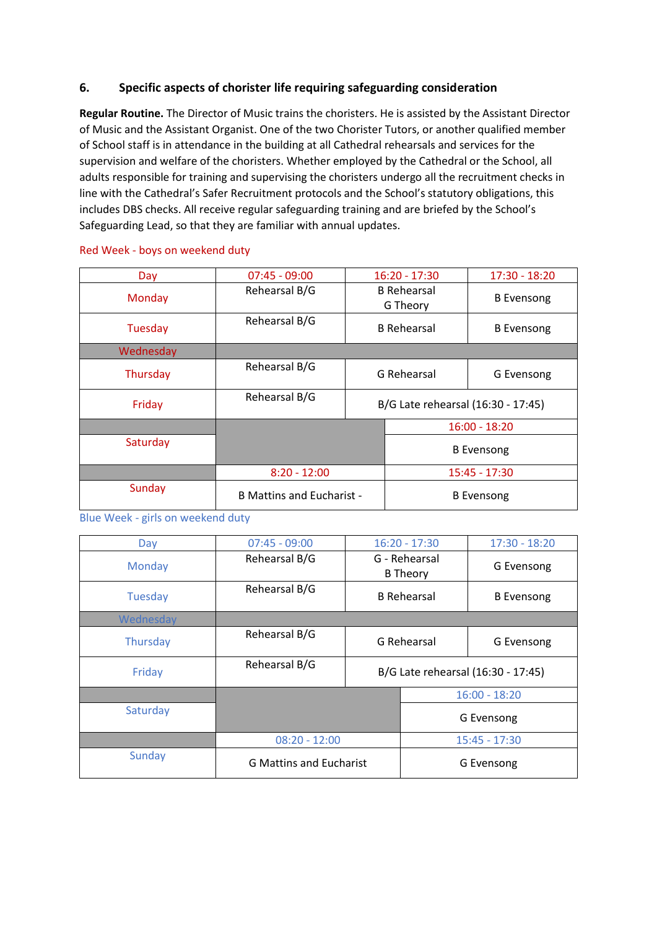#### **6. Specific aspects of chorister life requiring safeguarding consideration**

**Regular Routine.** The Director of Music trains the choristers. He is assisted by the Assistant Director of Music and the Assistant Organist. One of the two Chorister Tutors, or another qualified member of School staff is in attendance in the building at all Cathedral rehearsals and services for the supervision and welfare of the choristers. Whether employed by the Cathedral or the School, all adults responsible for training and supervising the choristers undergo all the recruitment checks in line with the Cathedral's Safer Recruitment protocols and the School's statutory obligations, this includes DBS checks. All receive regular safeguarding training and are briefed by the School's Safeguarding Lead, so that they are familiar with annual updates.

| Day       | $07:45 - 09:00$                  | $16:20 - 17:30$                    |                   | $17:30 - 18:20$   |  |
|-----------|----------------------------------|------------------------------------|-------------------|-------------------|--|
| Monday    | Rehearsal B/G                    | <b>B</b> Rehearsal<br>G Theory     |                   | <b>B</b> Evensong |  |
| Tuesday   | Rehearsal B/G                    | <b>B</b> Rehearsal                 |                   | <b>B</b> Evensong |  |
| Wednesday |                                  |                                    |                   |                   |  |
| Thursday  | Rehearsal B/G                    | G Rehearsal                        |                   | G Evensong        |  |
| Friday    | Rehearsal B/G                    | B/G Late rehearsal (16:30 - 17:45) |                   |                   |  |
|           |                                  |                                    | $16:00 - 18:20$   |                   |  |
| Saturday  |                                  |                                    | <b>B</b> Evensong |                   |  |
|           | $8:20 - 12:00$                   |                                    | $15:45 - 17:30$   |                   |  |
| Sunday    | <b>B Mattins and Eucharist -</b> |                                    | <b>B</b> Evensong |                   |  |

#### Red Week - boys on weekend duty

Blue Week - girls on weekend duty

| Day       | $07:45 - 09:00$                | $16:20 - 17:30$                    |                 | $17:30 - 18:20$   |  |
|-----------|--------------------------------|------------------------------------|-----------------|-------------------|--|
| Monday    | Rehearsal B/G                  | G - Rehearsal<br><b>B</b> Theory   |                 | G Evensong        |  |
| Tuesday   | Rehearsal B/G                  | <b>B</b> Rehearsal                 |                 | <b>B</b> Evensong |  |
| Wednesday |                                |                                    |                 |                   |  |
| Thursday  | Rehearsal B/G                  | G Rehearsal                        |                 | G Evensong        |  |
| Friday    | Rehearsal B/G                  | B/G Late rehearsal (16:30 - 17:45) |                 |                   |  |
|           |                                |                                    | $16:00 - 18:20$ |                   |  |
| Saturday  |                                |                                    |                 | G Evensong        |  |
|           | $08:20 - 12:00$                |                                    | $15:45 - 17:30$ |                   |  |
| Sunday    | <b>G Mattins and Eucharist</b> |                                    | G Evensong      |                   |  |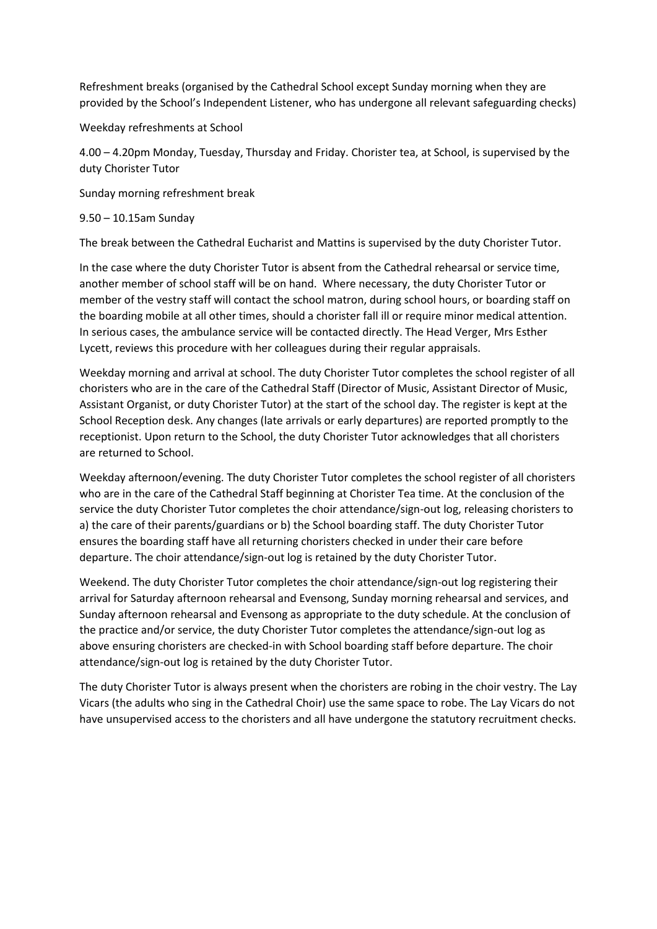Refreshment breaks (organised by the Cathedral School except Sunday morning when they are provided by the School's Independent Listener, who has undergone all relevant safeguarding checks)

Weekday refreshments at School

4.00 – 4.20pm Monday, Tuesday, Thursday and Friday. Chorister tea, at School, is supervised by the duty Chorister Tutor

Sunday morning refreshment break

#### 9.50 – 10.15am Sunday

The break between the Cathedral Eucharist and Mattins is supervised by the duty Chorister Tutor.

In the case where the duty Chorister Tutor is absent from the Cathedral rehearsal or service time, another member of school staff will be on hand. Where necessary, the duty Chorister Tutor or member of the vestry staff will contact the school matron, during school hours, or boarding staff on the boarding mobile at all other times, should a chorister fall ill or require minor medical attention. In serious cases, the ambulance service will be contacted directly. The Head Verger, Mrs Esther Lycett, reviews this procedure with her colleagues during their regular appraisals.

Weekday morning and arrival at school. The duty Chorister Tutor completes the school register of all choristers who are in the care of the Cathedral Staff (Director of Music, Assistant Director of Music, Assistant Organist, or duty Chorister Tutor) at the start of the school day. The register is kept at the School Reception desk. Any changes (late arrivals or early departures) are reported promptly to the receptionist. Upon return to the School, the duty Chorister Tutor acknowledges that all choristers are returned to School.

Weekday afternoon/evening. The duty Chorister Tutor completes the school register of all choristers who are in the care of the Cathedral Staff beginning at Chorister Tea time. At the conclusion of the service the duty Chorister Tutor completes the choir attendance/sign-out log, releasing choristers to a) the care of their parents/guardians or b) the School boarding staff. The duty Chorister Tutor ensures the boarding staff have all returning choristers checked in under their care before departure. The choir attendance/sign-out log is retained by the duty Chorister Tutor.

Weekend. The duty Chorister Tutor completes the choir attendance/sign-out log registering their arrival for Saturday afternoon rehearsal and Evensong, Sunday morning rehearsal and services, and Sunday afternoon rehearsal and Evensong as appropriate to the duty schedule. At the conclusion of the practice and/or service, the duty Chorister Tutor completes the attendance/sign-out log as above ensuring choristers are checked-in with School boarding staff before departure. The choir attendance/sign-out log is retained by the duty Chorister Tutor.

The duty Chorister Tutor is always present when the choristers are robing in the choir vestry. The Lay Vicars (the adults who sing in the Cathedral Choir) use the same space to robe. The Lay Vicars do not have unsupervised access to the choristers and all have undergone the statutory recruitment checks.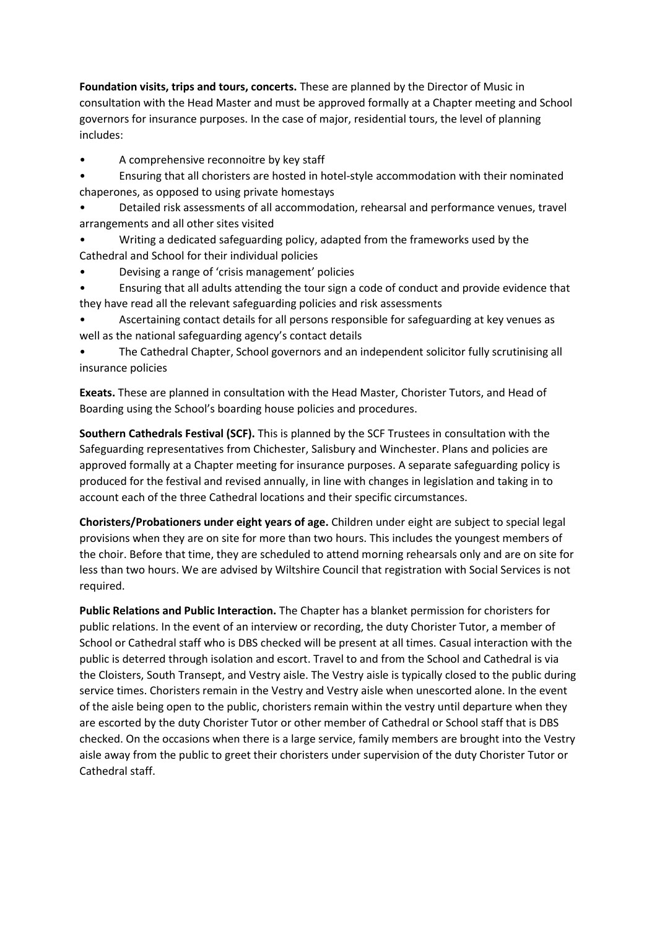**Foundation visits, trips and tours, concerts.** These are planned by the Director of Music in consultation with the Head Master and must be approved formally at a Chapter meeting and School governors for insurance purposes. In the case of major, residential tours, the level of planning includes:

- A comprehensive reconnoitre by key staff
- Ensuring that all choristers are hosted in hotel-style accommodation with their nominated chaperones, as opposed to using private homestays
- Detailed risk assessments of all accommodation, rehearsal and performance venues, travel arrangements and all other sites visited
- Writing a dedicated safeguarding policy, adapted from the frameworks used by the Cathedral and School for their individual policies
- Devising a range of 'crisis management' policies
- Ensuring that all adults attending the tour sign a code of conduct and provide evidence that they have read all the relevant safeguarding policies and risk assessments
- Ascertaining contact details for all persons responsible for safeguarding at key venues as well as the national safeguarding agency's contact details
- The Cathedral Chapter, School governors and an independent solicitor fully scrutinising all insurance policies

**Exeats.** These are planned in consultation with the Head Master, Chorister Tutors, and Head of Boarding using the School's boarding house policies and procedures.

**Southern Cathedrals Festival (SCF).** This is planned by the SCF Trustees in consultation with the Safeguarding representatives from Chichester, Salisbury and Winchester. Plans and policies are approved formally at a Chapter meeting for insurance purposes. A separate safeguarding policy is produced for the festival and revised annually, in line with changes in legislation and taking in to account each of the three Cathedral locations and their specific circumstances.

**Choristers/Probationers under eight years of age.** Children under eight are subject to special legal provisions when they are on site for more than two hours. This includes the youngest members of the choir. Before that time, they are scheduled to attend morning rehearsals only and are on site for less than two hours. We are advised by Wiltshire Council that registration with Social Services is not required.

**Public Relations and Public Interaction.** The Chapter has a blanket permission for choristers for public relations. In the event of an interview or recording, the duty Chorister Tutor, a member of School or Cathedral staff who is DBS checked will be present at all times. Casual interaction with the public is deterred through isolation and escort. Travel to and from the School and Cathedral is via the Cloisters, South Transept, and Vestry aisle. The Vestry aisle is typically closed to the public during service times. Choristers remain in the Vestry and Vestry aisle when unescorted alone. In the event of the aisle being open to the public, choristers remain within the vestry until departure when they are escorted by the duty Chorister Tutor or other member of Cathedral or School staff that is DBS checked. On the occasions when there is a large service, family members are brought into the Vestry aisle away from the public to greet their choristers under supervision of the duty Chorister Tutor or Cathedral staff.